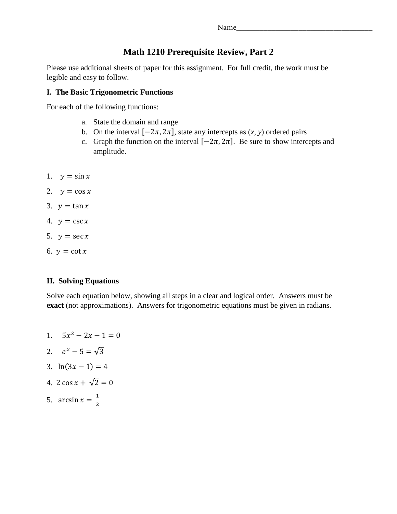## **Math 1210 Prerequisite Review, Part 2**

Please use additional sheets of paper for this assignment. For full credit, the work must be legible and easy to follow.

## **I. The Basic Trigonometric Functions**

For each of the following functions:

- a. State the domain and range
- b. On the interval  $[-2\pi, 2\pi]$ , state any intercepts as  $(x, y)$  ordered pairs
- c. Graph the function on the interval  $[-2\pi, 2\pi]$ . Be sure to show intercepts and amplitude.
- 1.  $y = \sin x$
- 2.  $y = \cos x$
- 3.  $y = \tan x$
- 4.  $y = \csc x$
- 5.  $y = \sec x$
- 6.  $y = \cot x$

## **II. Solving Equations**

Solve each equation below, showing all steps in a clear and logical order. Answers must be **exact** (not approximations). Answers for trigonometric equations must be given in radians.

- 1.  $5x^2 2x 1 = 0$
- 2.  $e^x 5 = \sqrt{3}$
- 3.  $ln(3x 1) = 4$
- 4.  $2 \cos x + \sqrt{2} = 0$
- 5.  $\arcsin x = \frac{1}{2}$